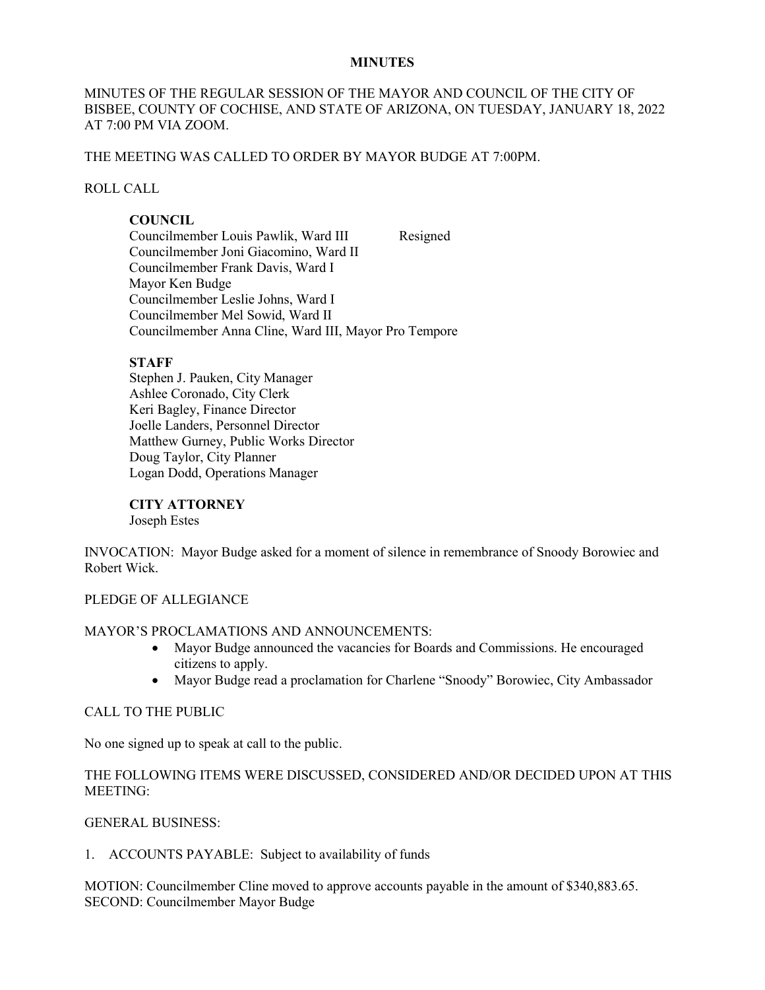#### **MINUTES**

#### MINUTES OF THE REGULAR SESSION OF THE MAYOR AND COUNCIL OF THE CITY OF BISBEE, COUNTY OF COCHISE, AND STATE OF ARIZONA, ON TUESDAY, JANUARY 18, 2022 AT 7:00 PM VIA ZOOM.

#### THE MEETING WAS CALLED TO ORDER BY MAYOR BUDGE AT 7:00PM.

#### ROLL CALL

#### **COUNCIL**

Councilmember Louis Pawlik, Ward III Resigned Councilmember Joni Giacomino, Ward II Councilmember Frank Davis, Ward I Mayor Ken Budge Councilmember Leslie Johns, Ward I Councilmember Mel Sowid, Ward II Councilmember Anna Cline, Ward III, Mayor Pro Tempore

#### **STAFF**

Stephen J. Pauken, City Manager Ashlee Coronado, City Clerk Keri Bagley, Finance Director Joelle Landers, Personnel Director Matthew Gurney, Public Works Director Doug Taylor, City Planner Logan Dodd, Operations Manager

**CITY ATTORNEY** Joseph Estes

INVOCATION: Mayor Budge asked for a moment of silence in remembrance of Snoody Borowiec and Robert Wick.

#### PLEDGE OF ALLEGIANCE

#### MAYOR'S PROCLAMATIONS AND ANNOUNCEMENTS:

- Mayor Budge announced the vacancies for Boards and Commissions. He encouraged citizens to apply.
- Mayor Budge read a proclamation for Charlene "Snoody" Borowiec, City Ambassador

#### CALL TO THE PUBLIC

No one signed up to speak at call to the public.

#### THE FOLLOWING ITEMS WERE DISCUSSED, CONSIDERED AND/OR DECIDED UPON AT THIS MEETING:

#### GENERAL BUSINESS:

1. ACCOUNTS PAYABLE: Subject to availability of funds

MOTION: Councilmember Cline moved to approve accounts payable in the amount of \$340,883.65. SECOND: Councilmember Mayor Budge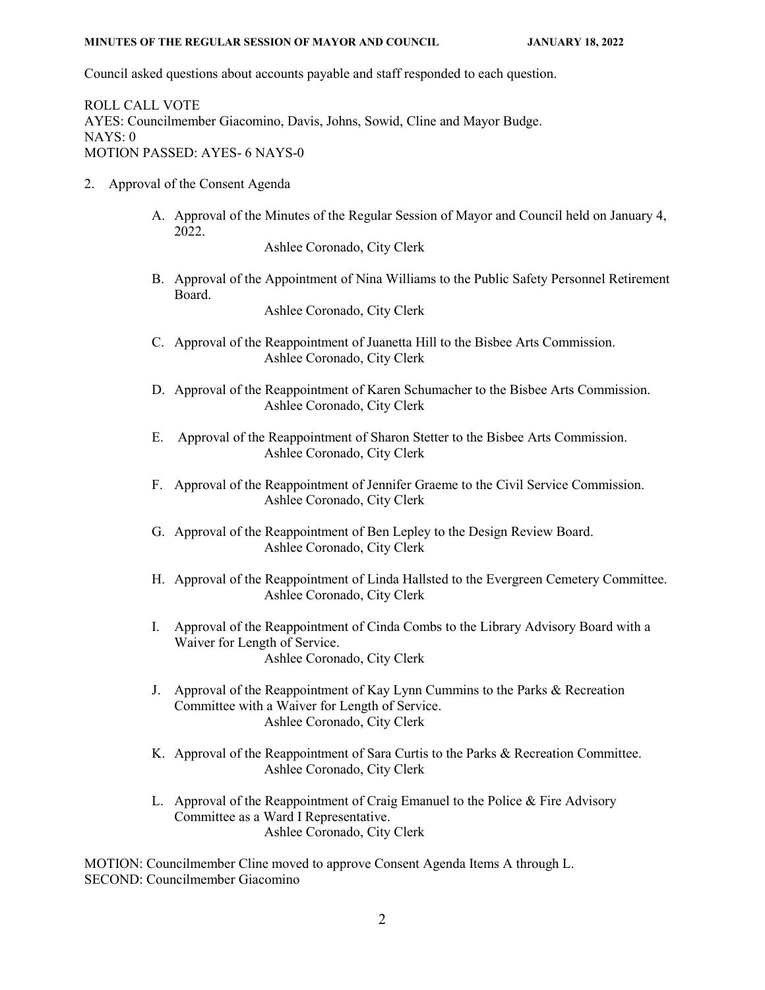Council asked questions about accounts payable and staff responded to each question.

ROLL CALL VOTE AYES: Councilmember Giacomino, Davis, Johns, Sowid, Cline and Mayor Budge. NAYS: 0 MOTION PASSED: AYES- 6 NAYS-0

- 2. Approval of the Consent Agenda
	- A. Approval of the Minutes of the Regular Session of Mayor and Council held on January 4, 2022.

Ashlee Coronado, City Clerk

B. Approval of the Appointment of Nina Williams to the Public Safety Personnel Retirement Board.

Ashlee Coronado, City Clerk

- C. Approval of the Reappointment of Juanetta Hill to the Bisbee Arts Commission. Ashlee Coronado, City Clerk
- D. Approval of the Reappointment of Karen Schumacher to the Bisbee Arts Commission. Ashlee Coronado, City Clerk
- E. Approval of the Reappointment of Sharon Stetter to the Bisbee Arts Commission. Ashlee Coronado, City Clerk
- F. Approval of the Reappointment of Jennifer Graeme to the Civil Service Commission. Ashlee Coronado, City Clerk
- G. Approval of the Reappointment of Ben Lepley to the Design Review Board. Ashlee Coronado, City Clerk
- H. Approval of the Reappointment of Linda Hallsted to the Evergreen Cemetery Committee. Ashlee Coronado, City Clerk
- I. Approval of the Reappointment of Cinda Combs to the Library Advisory Board with a Waiver for Length of Service. Ashlee Coronado, City Clerk
- J. Approval of the Reappointment of Kay Lynn Cummins to the Parks & Recreation Committee with a Waiver for Length of Service. Ashlee Coronado, City Clerk
- K. Approval of the Reappointment of Sara Curtis to the Parks & Recreation Committee. Ashlee Coronado, City Clerk
- L. Approval of the Reappointment of Craig Emanuel to the Police & Fire Advisory Committee as a Ward I Representative. Ashlee Coronado, City Clerk

MOTION: Councilmember Cline moved to approve Consent Agenda Items A through L. SECOND: Councilmember Giacomino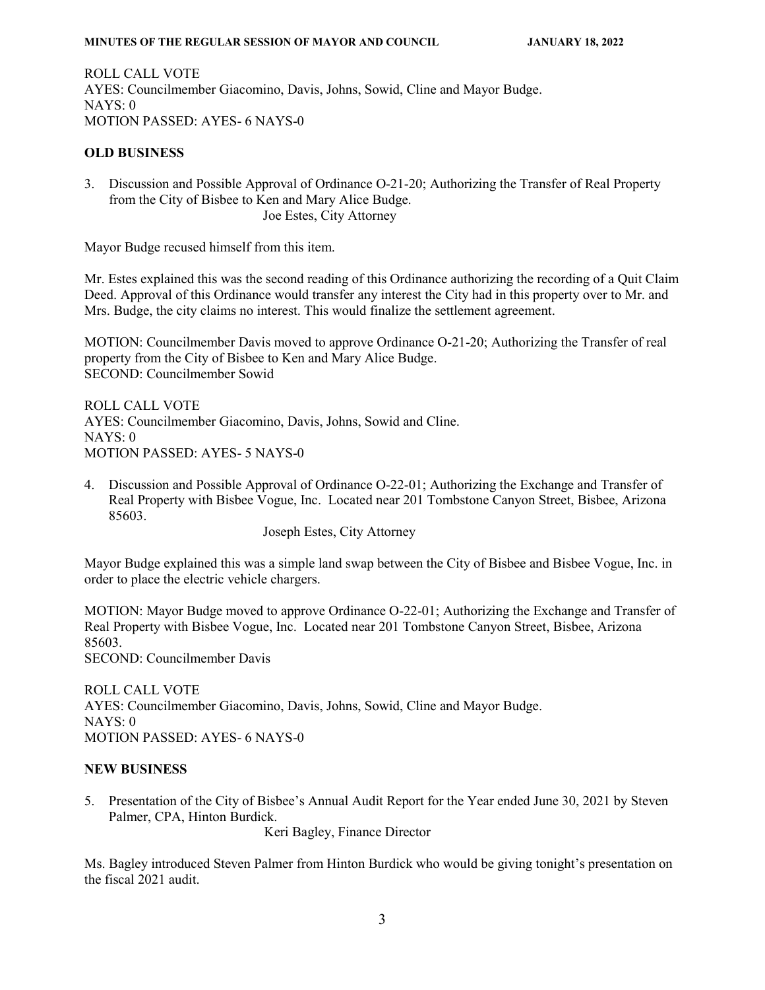ROLL CALL VOTE AYES: Councilmember Giacomino, Davis, Johns, Sowid, Cline and Mayor Budge. NAYS: 0 MOTION PASSED: AYES- 6 NAYS-0

#### **OLD BUSINESS**

3. Discussion and Possible Approval of Ordinance O-21-20; Authorizing the Transfer of Real Property from the City of Bisbee to Ken and Mary Alice Budge. Joe Estes, City Attorney

Mayor Budge recused himself from this item.

Mr. Estes explained this was the second reading of this Ordinance authorizing the recording of a Quit Claim Deed. Approval of this Ordinance would transfer any interest the City had in this property over to Mr. and Mrs. Budge, the city claims no interest. This would finalize the settlement agreement.

MOTION: Councilmember Davis moved to approve Ordinance O-21-20; Authorizing the Transfer of real property from the City of Bisbee to Ken and Mary Alice Budge. SECOND: Councilmember Sowid

ROLL CALL VOTE AYES: Councilmember Giacomino, Davis, Johns, Sowid and Cline. NAYS: 0 MOTION PASSED: AYES- 5 NAYS-0

4. Discussion and Possible Approval of Ordinance O-22-01; Authorizing the Exchange and Transfer of Real Property with Bisbee Vogue, Inc. Located near 201 Tombstone Canyon Street, Bisbee, Arizona 85603.

Joseph Estes, City Attorney

Mayor Budge explained this was a simple land swap between the City of Bisbee and Bisbee Vogue, Inc. in order to place the electric vehicle chargers.

MOTION: Mayor Budge moved to approve Ordinance O-22-01; Authorizing the Exchange and Transfer of Real Property with Bisbee Vogue, Inc. Located near 201 Tombstone Canyon Street, Bisbee, Arizona 85603. SECOND: Councilmember Davis

ROLL CALL VOTE AYES: Councilmember Giacomino, Davis, Johns, Sowid, Cline and Mayor Budge. NAYS: 0 MOTION PASSED: AYES- 6 NAYS-0

#### **NEW BUSINESS**

5. Presentation of the City of Bisbee's Annual Audit Report for the Year ended June 30, 2021 by Steven Palmer, CPA, Hinton Burdick.

Keri Bagley, Finance Director

Ms. Bagley introduced Steven Palmer from Hinton Burdick who would be giving tonight's presentation on the fiscal 2021 audit.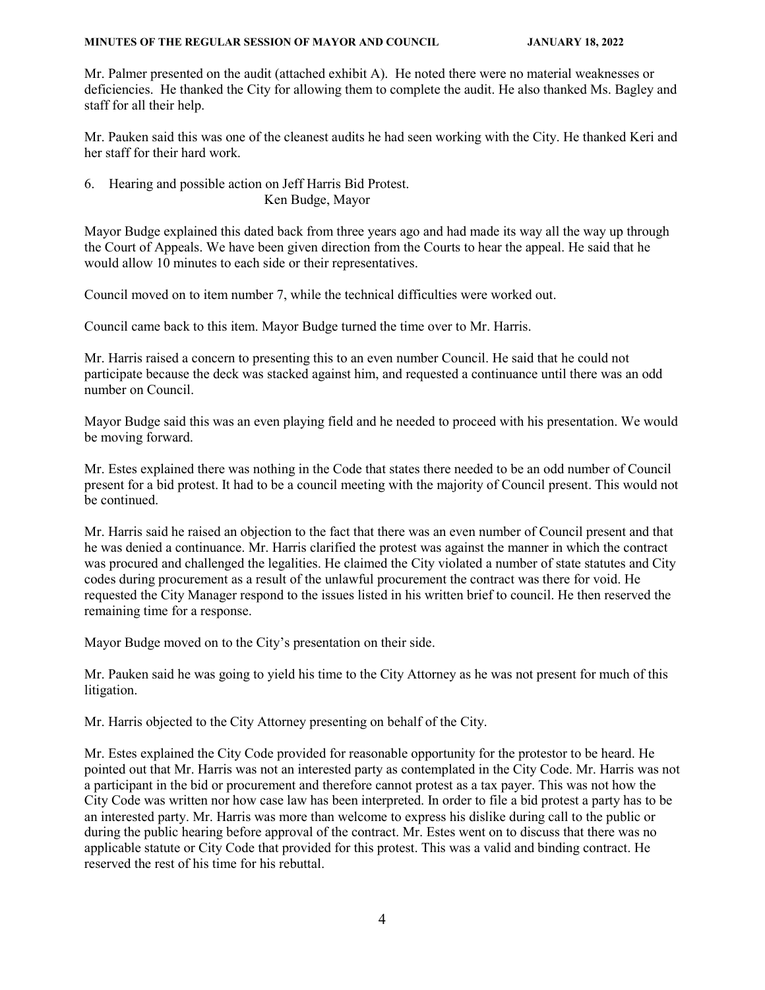Mr. Palmer presented on the audit (attached exhibit A). He noted there were no material weaknesses or deficiencies. He thanked the City for allowing them to complete the audit. He also thanked Ms. Bagley and staff for all their help.

Mr. Pauken said this was one of the cleanest audits he had seen working with the City. He thanked Keri and her staff for their hard work.

6. Hearing and possible action on Jeff Harris Bid Protest. Ken Budge, Mayor

Mayor Budge explained this dated back from three years ago and had made its way all the way up through the Court of Appeals. We have been given direction from the Courts to hear the appeal. He said that he would allow 10 minutes to each side or their representatives.

Council moved on to item number 7, while the technical difficulties were worked out.

Council came back to this item. Mayor Budge turned the time over to Mr. Harris.

Mr. Harris raised a concern to presenting this to an even number Council. He said that he could not participate because the deck was stacked against him, and requested a continuance until there was an odd number on Council.

Mayor Budge said this was an even playing field and he needed to proceed with his presentation. We would be moving forward.

Mr. Estes explained there was nothing in the Code that states there needed to be an odd number of Council present for a bid protest. It had to be a council meeting with the majority of Council present. This would not be continued.

Mr. Harris said he raised an objection to the fact that there was an even number of Council present and that he was denied a continuance. Mr. Harris clarified the protest was against the manner in which the contract was procured and challenged the legalities. He claimed the City violated a number of state statutes and City codes during procurement as a result of the unlawful procurement the contract was there for void. He requested the City Manager respond to the issues listed in his written brief to council. He then reserved the remaining time for a response.

Mayor Budge moved on to the City's presentation on their side.

Mr. Pauken said he was going to yield his time to the City Attorney as he was not present for much of this litigation.

Mr. Harris objected to the City Attorney presenting on behalf of the City.

Mr. Estes explained the City Code provided for reasonable opportunity for the protestor to be heard. He pointed out that Mr. Harris was not an interested party as contemplated in the City Code. Mr. Harris was not a participant in the bid or procurement and therefore cannot protest as a tax payer. This was not how the City Code was written nor how case law has been interpreted. In order to file a bid protest a party has to be an interested party. Mr. Harris was more than welcome to express his dislike during call to the public or during the public hearing before approval of the contract. Mr. Estes went on to discuss that there was no applicable statute or City Code that provided for this protest. This was a valid and binding contract. He reserved the rest of his time for his rebuttal.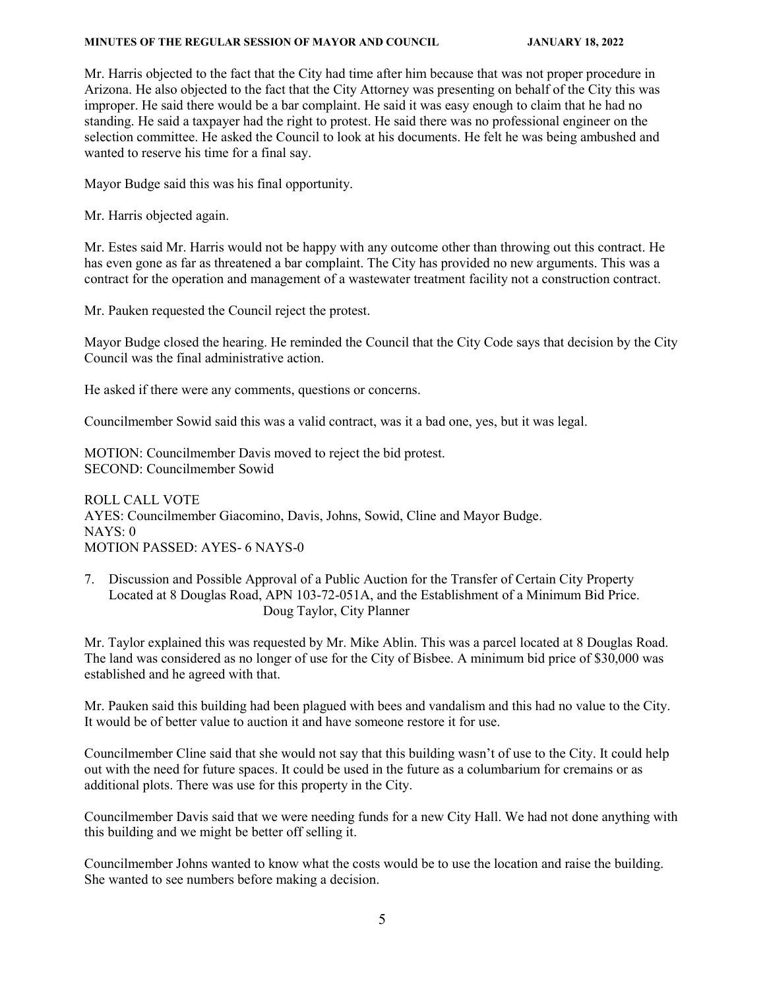Mr. Harris objected to the fact that the City had time after him because that was not proper procedure in Arizona. He also objected to the fact that the City Attorney was presenting on behalf of the City this was improper. He said there would be a bar complaint. He said it was easy enough to claim that he had no standing. He said a taxpayer had the right to protest. He said there was no professional engineer on the selection committee. He asked the Council to look at his documents. He felt he was being ambushed and wanted to reserve his time for a final say.

Mayor Budge said this was his final opportunity.

Mr. Harris objected again.

Mr. Estes said Mr. Harris would not be happy with any outcome other than throwing out this contract. He has even gone as far as threatened a bar complaint. The City has provided no new arguments. This was a contract for the operation and management of a wastewater treatment facility not a construction contract.

Mr. Pauken requested the Council reject the protest.

Mayor Budge closed the hearing. He reminded the Council that the City Code says that decision by the City Council was the final administrative action.

He asked if there were any comments, questions or concerns.

Councilmember Sowid said this was a valid contract, was it a bad one, yes, but it was legal.

MOTION: Councilmember Davis moved to reject the bid protest. SECOND: Councilmember Sowid

ROLL CALL VOTE AYES: Councilmember Giacomino, Davis, Johns, Sowid, Cline and Mayor Budge. NAYS: 0 MOTION PASSED: AYES- 6 NAYS-0

7. Discussion and Possible Approval of a Public Auction for the Transfer of Certain City Property Located at 8 Douglas Road, APN 103-72-051A, and the Establishment of a Minimum Bid Price. Doug Taylor, City Planner

Mr. Taylor explained this was requested by Mr. Mike Ablin. This was a parcel located at 8 Douglas Road. The land was considered as no longer of use for the City of Bisbee. A minimum bid price of \$30,000 was established and he agreed with that.

Mr. Pauken said this building had been plagued with bees and vandalism and this had no value to the City. It would be of better value to auction it and have someone restore it for use.

Councilmember Cline said that she would not say that this building wasn't of use to the City. It could help out with the need for future spaces. It could be used in the future as a columbarium for cremains or as additional plots. There was use for this property in the City.

Councilmember Davis said that we were needing funds for a new City Hall. We had not done anything with this building and we might be better off selling it.

Councilmember Johns wanted to know what the costs would be to use the location and raise the building. She wanted to see numbers before making a decision.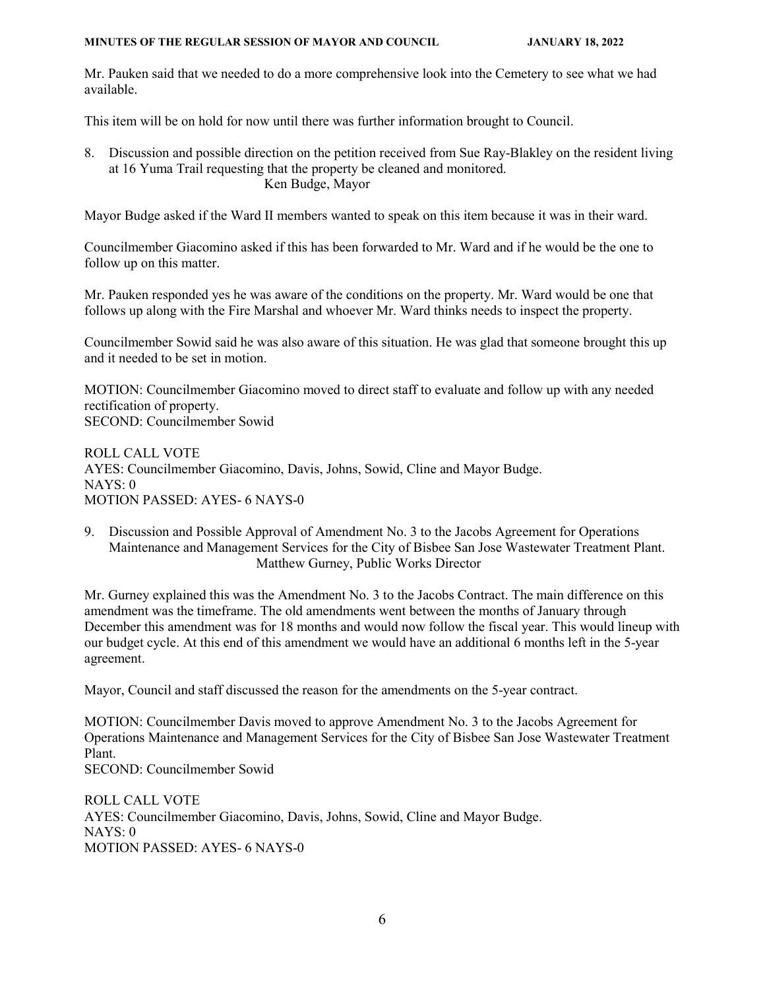Mr. Pauken said that we needed to do a more comprehensive look into the Cemetery to see what we had available.

This item will be on hold for now until there was further information brought to Council.

8. Discussion and possible direction on the petition received from Sue Ray-Blakley on the resident living at 16 Yuma Trail requesting that the property be cleaned and monitored. Ken Budge, Mayor

Mayor Budge asked if the Ward II members wanted to speak on this item because it was in their ward.

Councilmember Giacomino asked if this has been forwarded to Mr. Ward and if he would be the one to follow up on this matter.

Mr. Pauken responded yes he was aware of the conditions on the property. Mr. Ward would be one that follows up along with the Fire Marshal and whoever Mr. Ward thinks needs to inspect the property.

Councilmember Sowid said he was also aware of this situation. He was glad that someone brought this up and it needed to be set in motion.

MOTION: Councilmember Giacomino moved to direct staff to evaluate and follow up with any needed rectification of property. SECOND: Councilmember Sowid

ROLL CALL VOTE AYES: Councilmember Giacomino, Davis, Johns, Sowid, Cline and Mayor Budge. NAYS: 0 MOTION PASSED: AYES- 6 NAYS-0

9. Discussion and Possible Approval of Amendment No. 3 to the Jacobs Agreement for Operations Maintenance and Management Services for the City of Bisbee San Jose Wastewater Treatment Plant. Matthew Gurney, Public Works Director

Mr. Gurney explained this was the Amendment No. 3 to the Jacobs Contract. The main difference on this amendment was the timeframe. The old amendments went between the months of January through December this amendment was for 18 months and would now follow the fiscal year. This would lineup with our budget cycle. At this end of this amendment we would have an additional 6 months left in the 5-year agreement.

Mayor, Council and staff discussed the reason for the amendments on the 5-year contract.

MOTION: Councilmember Davis moved to approve Amendment No. 3 to the Jacobs Agreement for Operations Maintenance and Management Services for the City of Bisbee San Jose Wastewater Treatment Plant. SECOND: Councilmember Sowid

ROLL CALL VOTE AYES: Councilmember Giacomino, Davis, Johns, Sowid, Cline and Mayor Budge. NAYS: 0 MOTION PASSED: AYES- 6 NAYS-0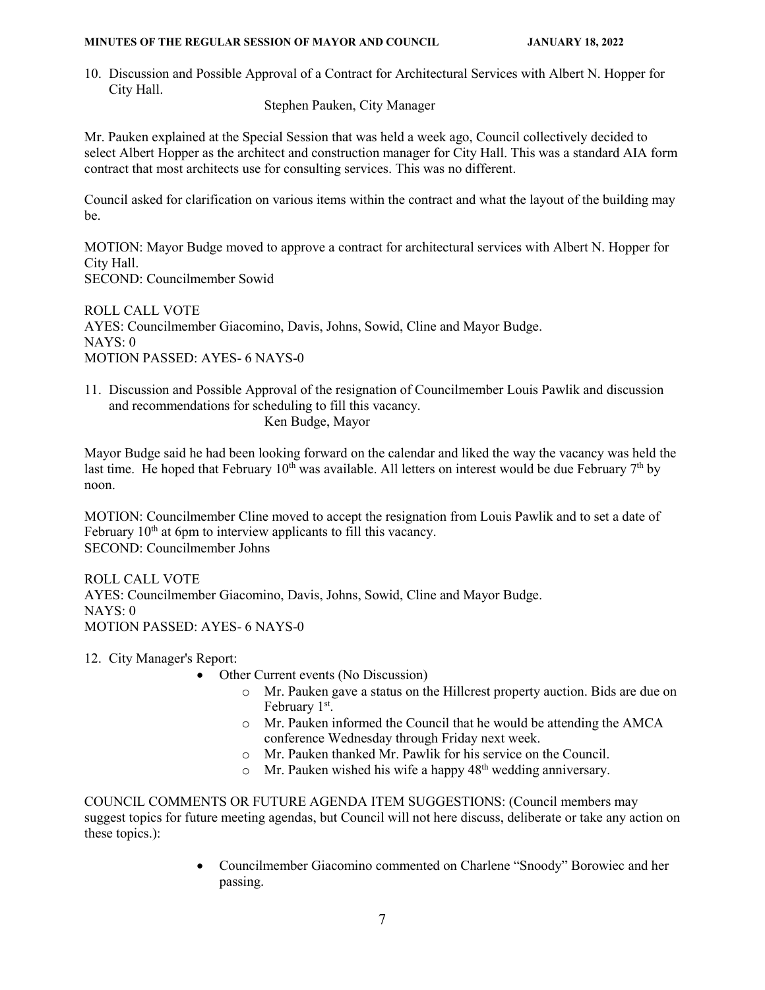10. Discussion and Possible Approval of a Contract for Architectural Services with Albert N. Hopper for City Hall.

Stephen Pauken, City Manager

Mr. Pauken explained at the Special Session that was held a week ago, Council collectively decided to select Albert Hopper as the architect and construction manager for City Hall. This was a standard AIA form contract that most architects use for consulting services. This was no different.

Council asked for clarification on various items within the contract and what the layout of the building may be.

MOTION: Mayor Budge moved to approve a contract for architectural services with Albert N. Hopper for City Hall. SECOND: Councilmember Sowid

ROLL CALL VOTE AYES: Councilmember Giacomino, Davis, Johns, Sowid, Cline and Mayor Budge. NAYS: 0 MOTION PASSED: AYES- 6 NAYS-0

11. Discussion and Possible Approval of the resignation of Councilmember Louis Pawlik and discussion and recommendations for scheduling to fill this vacancy. Ken Budge, Mayor

Mayor Budge said he had been looking forward on the calendar and liked the way the vacancy was held the last time. He hoped that February  $10<sup>th</sup>$  was available. All letters on interest would be due February  $7<sup>th</sup>$  by noon.

MOTION: Councilmember Cline moved to accept the resignation from Louis Pawlik and to set a date of February  $10<sup>th</sup>$  at 6pm to interview applicants to fill this vacancy. SECOND: Councilmember Johns

ROLL CALL VOTE AYES: Councilmember Giacomino, Davis, Johns, Sowid, Cline and Mayor Budge. NAYS: 0 MOTION PASSED: AYES- 6 NAYS-0

12. City Manager's Report:

- Other Current events (No Discussion)
	- o Mr. Pauken gave a status on the Hillcrest property auction. Bids are due on February 1<sup>st</sup>.
	- o Mr. Pauken informed the Council that he would be attending the AMCA conference Wednesday through Friday next week.
	- o Mr. Pauken thanked Mr. Pawlik for his service on the Council.
	- $\circ$  Mr. Pauken wished his wife a happy 48<sup>th</sup> wedding anniversary.

COUNCIL COMMENTS OR FUTURE AGENDA ITEM SUGGESTIONS: (Council members may suggest topics for future meeting agendas, but Council will not here discuss, deliberate or take any action on these topics.):

> • Councilmember Giacomino commented on Charlene "Snoody" Borowiec and her passing.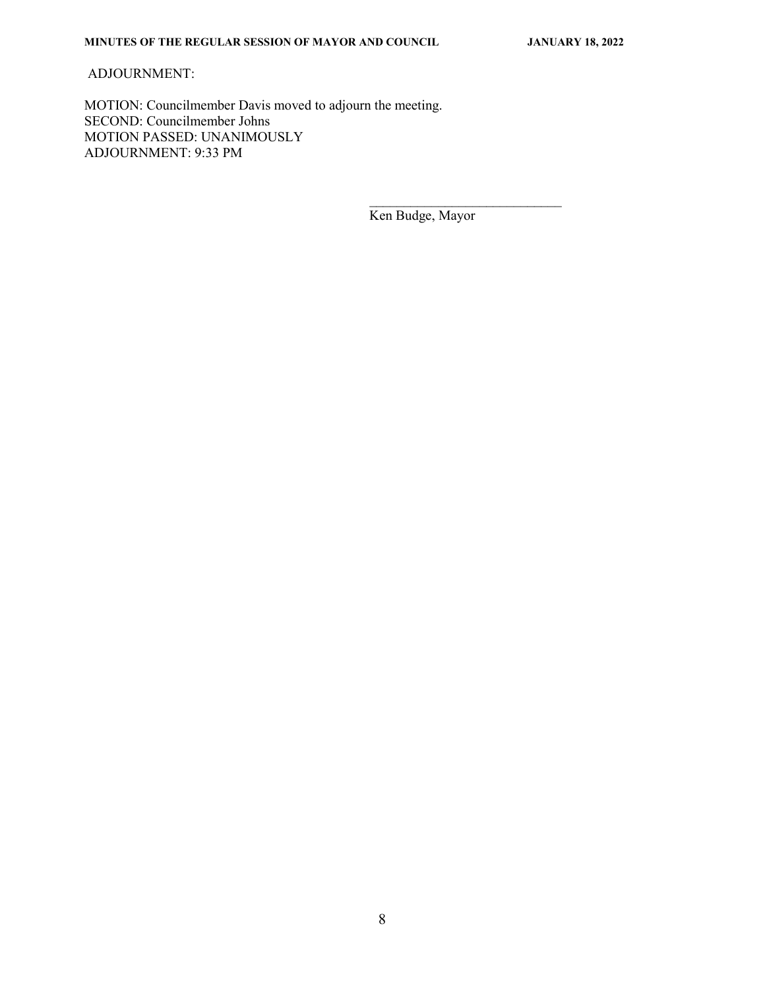#### ADJOURNMENT:

MOTION: Councilmember Davis moved to adjourn the meeting. SECOND: Councilmember Johns MOTION PASSED: UNANIMOUSLY ADJOURNMENT: 9:33 PM

 $\overline{\phantom{a}}$  , and the contract of the contract of the contract of the contract of the contract of the contract of the contract of the contract of the contract of the contract of the contract of the contract of the contrac

Ken Budge, Mayor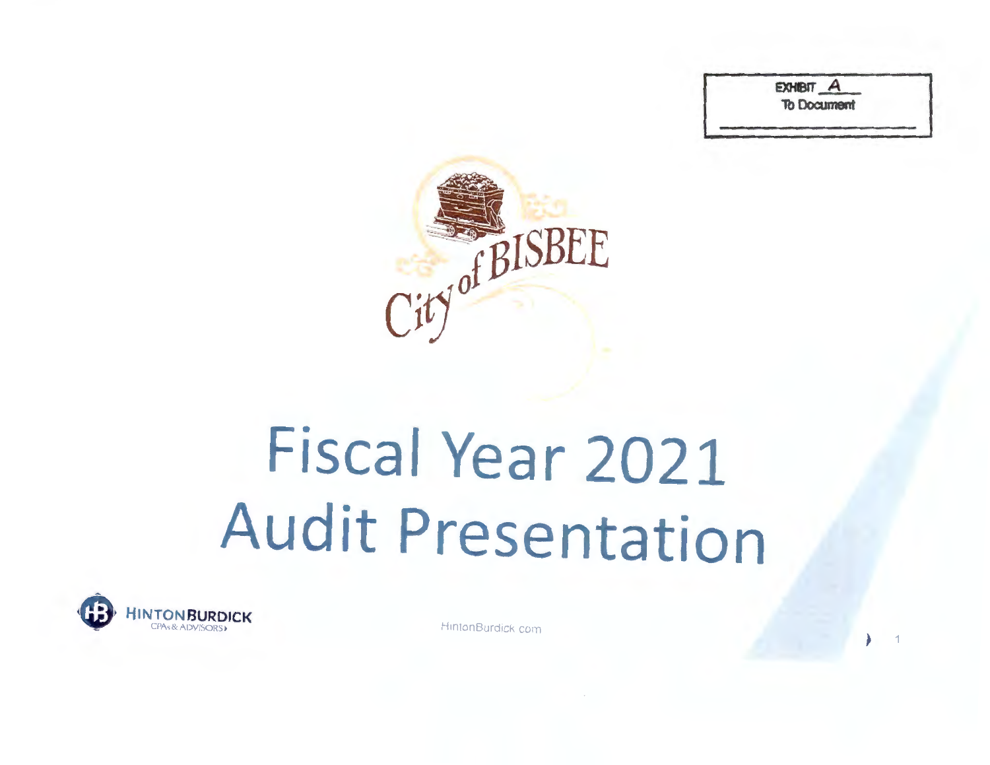EXHIBIT A **To Document** 



### Fiscal Year 2021 **Audit Presentation**



HintonBurdick com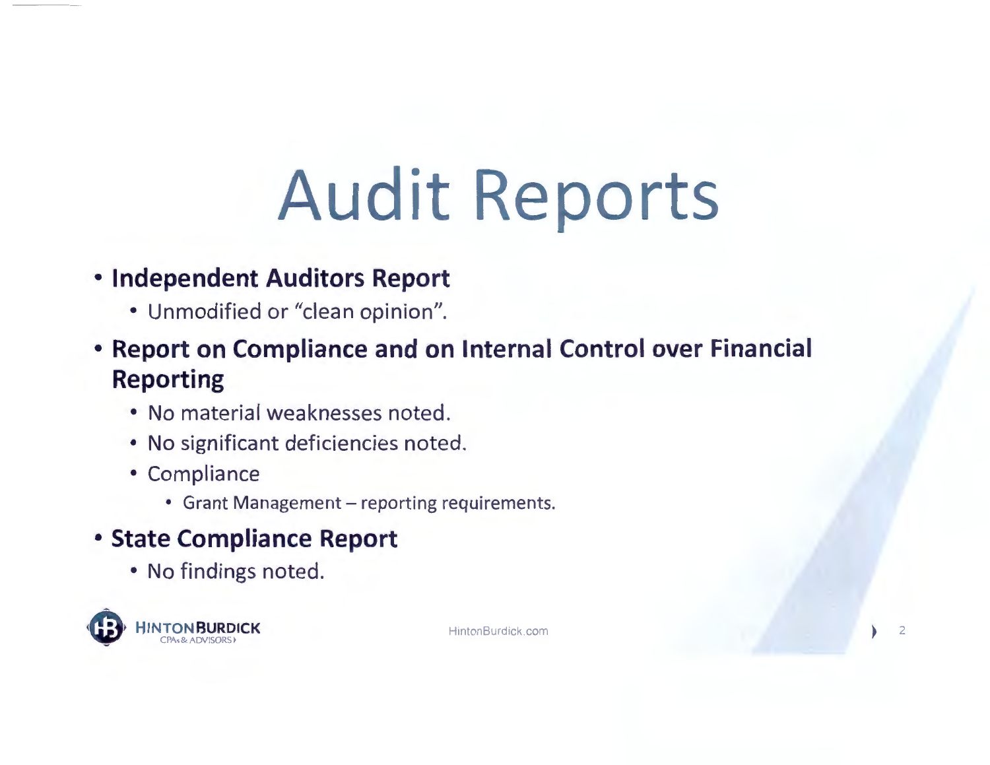## **Audit Reports**

### • **Independent Auditors Report**

- Unmodified or "clean opinion".
- **Report on Compliance and on Internal Control over Financial Reporting** 
	- No material weaknesses noted.
	- No significant deficiencies noted.
	- Compliance
		- Grant Management reporting requirements.

### • **State Compliance Report**

• No findings noted.

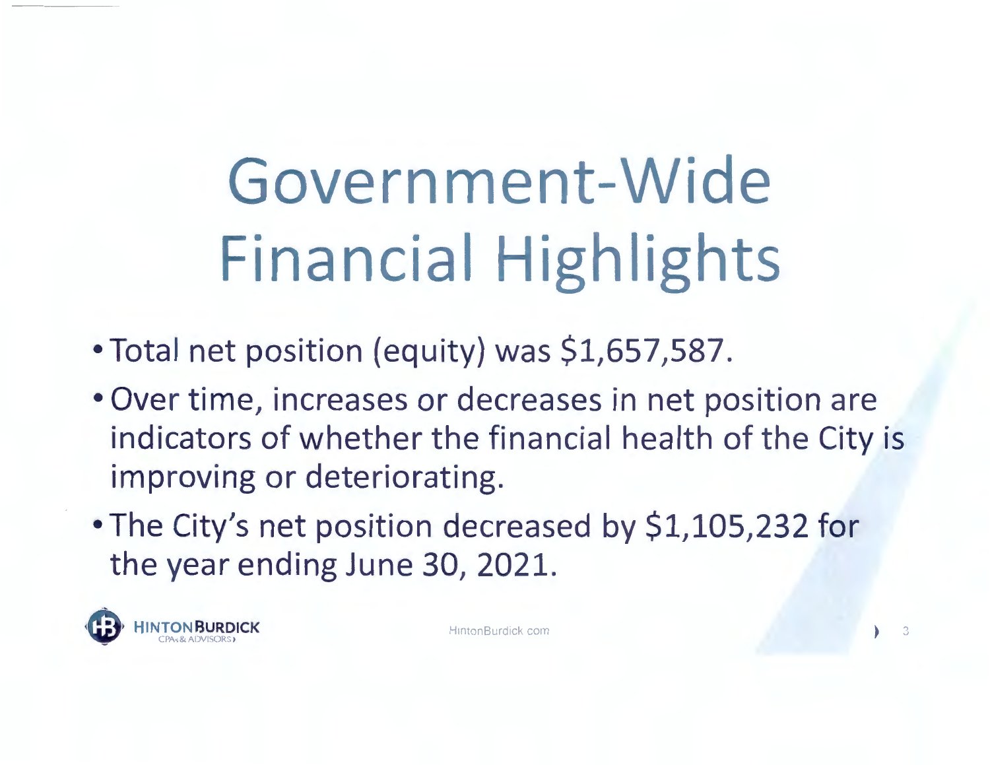### **Government-Wide Financial Highlights**

- Total net position (equity) was \$1,657,587.
- Over time, increases or decreases in net position are indicators of whether the financial health of the City is improving or deteriorating.
- The City's net position decreased by \$1,105,232 for the year ending June 30, 2021.

**INTON BURDICK HINTON HuntonBurdick com** CPA<sub>5</sub>& ADVISORS **•** 

 $\overline{3}$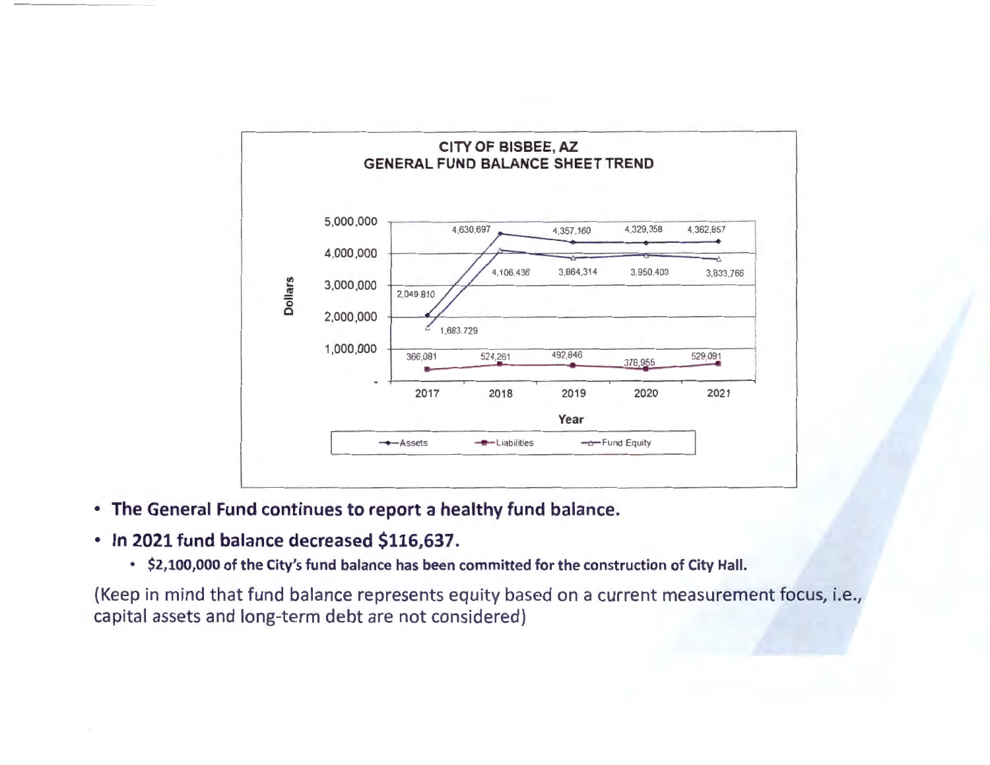

• **The General Fund continues to report a healthy fund balance.** 

#### • **In 2021 fund balance decreased \$116,637.**

• **\$2,100,000 of the City's fund balance has been committed for the construction of City Hall.** 

(Keep in mind that fund balance represents equity based on a current measurement focus, i.e., capital assets and long-term debt are not considered)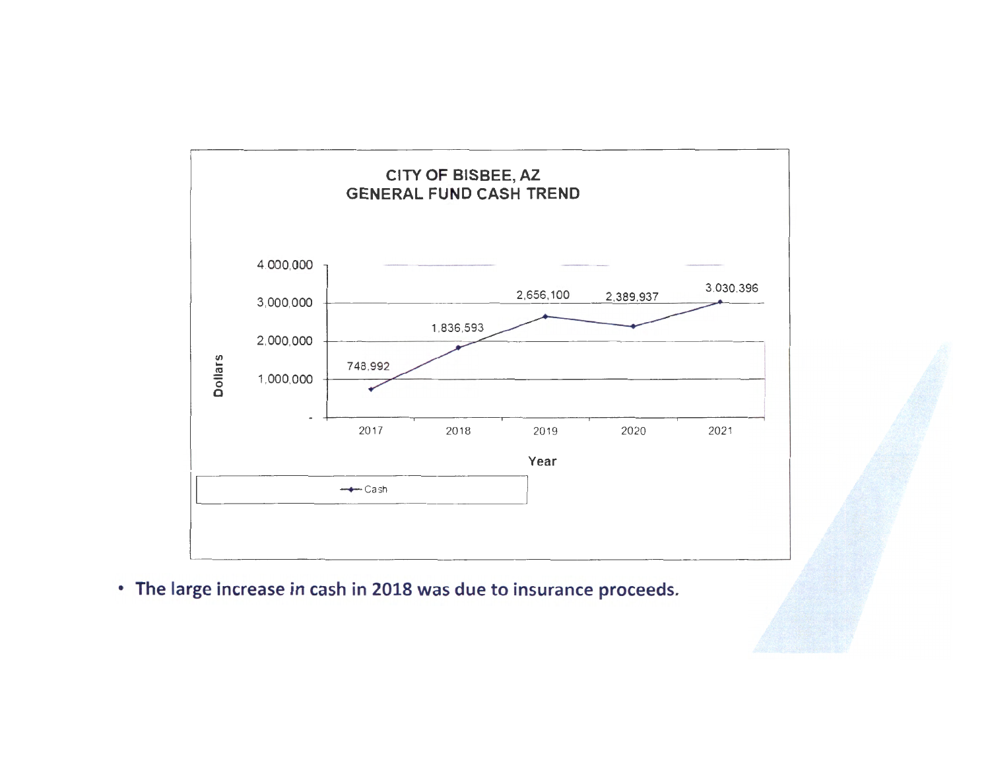

• The large increase in cash in 2018 was due to insurance proceeds.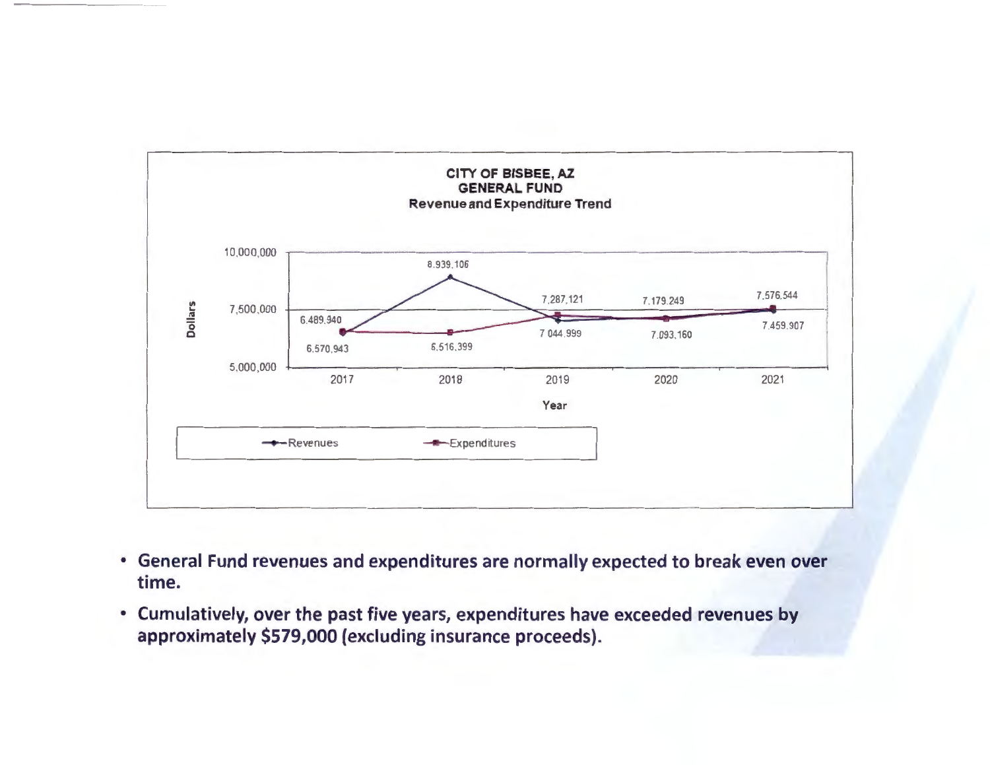

- General Fund revenues and expenditures are normally expected to break even over time.
- Cumulatively, over the past five years, expenditures have exceeded revenues by approximately \$579,000 (excluding insurance proceeds).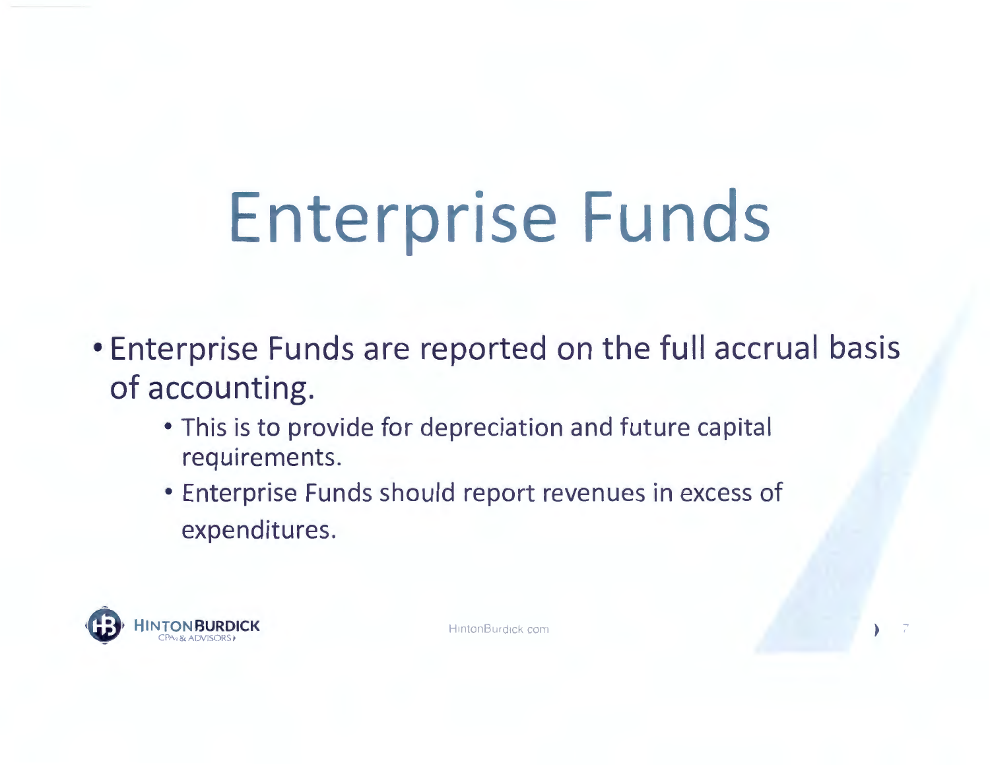# Enterprise Funds

- . Enterprise Funds are reported on the full accrual basis of accounting.
	- . This is to provide for depreciation and future capital requirements.
	- · Enterprise Funds should report revenues in excess of expenditures.



HintonBurdick com

 $\overline{I}$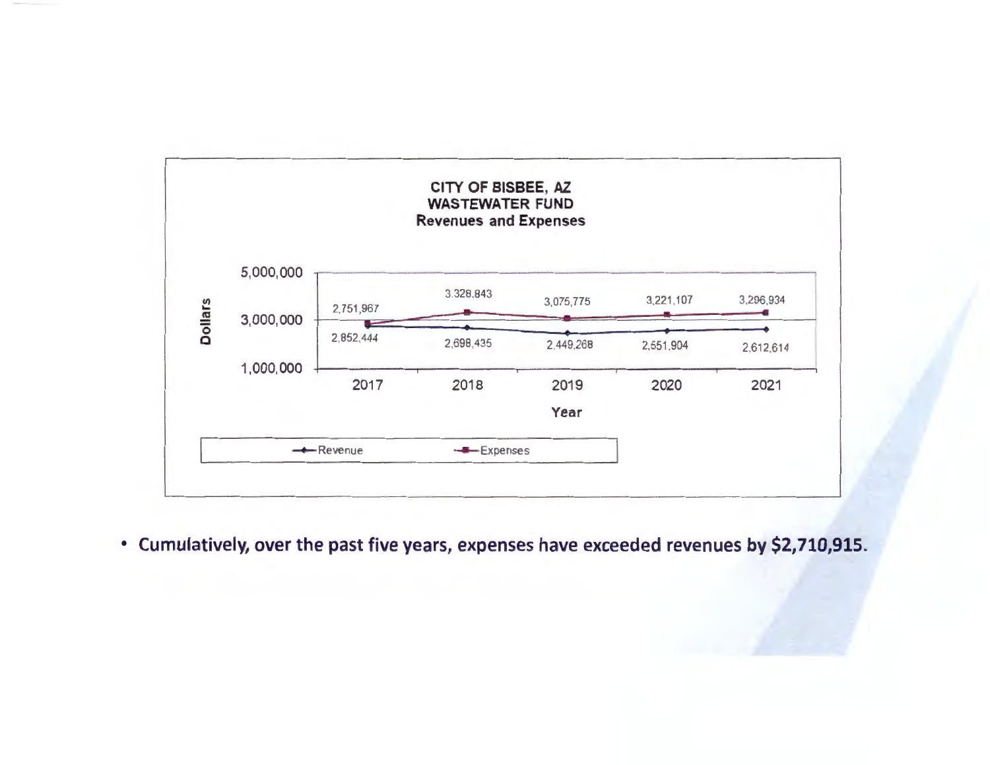

• **Cumulatively, over the past five years, expenses have exceeded revenues by \$2,710,915.**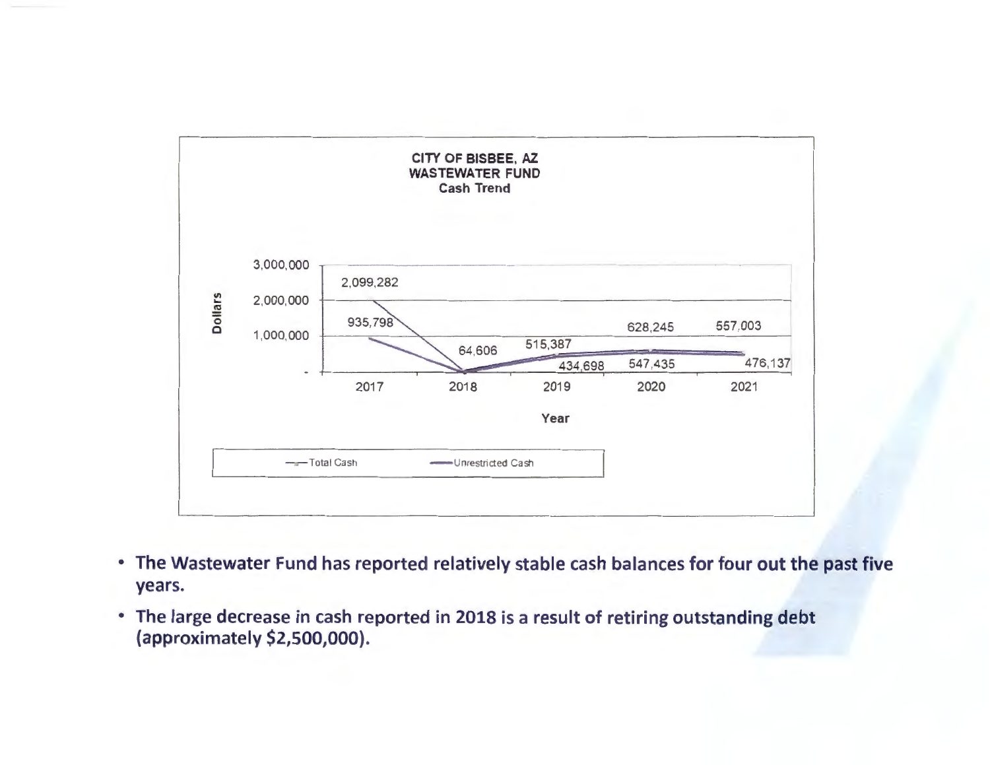

- . The Wastewater Fund has reported relatively stable cash balances for four out the past five years.
- The large decrease in cash reported in 2018 is a result of retiring outstanding debt (approximately \$2,500,000).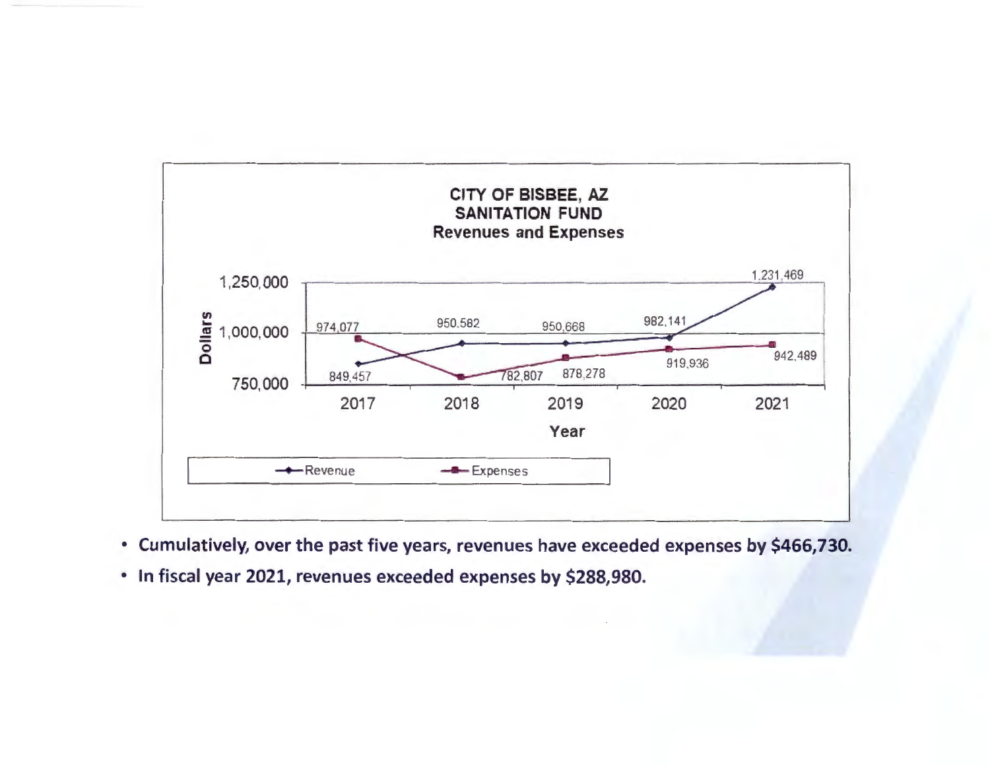

- Cumulatively, over the past five years, revenues have exceeded expenses by \$466,730.
- · In fiscal year 2021, revenues exceeded expenses by \$288,980.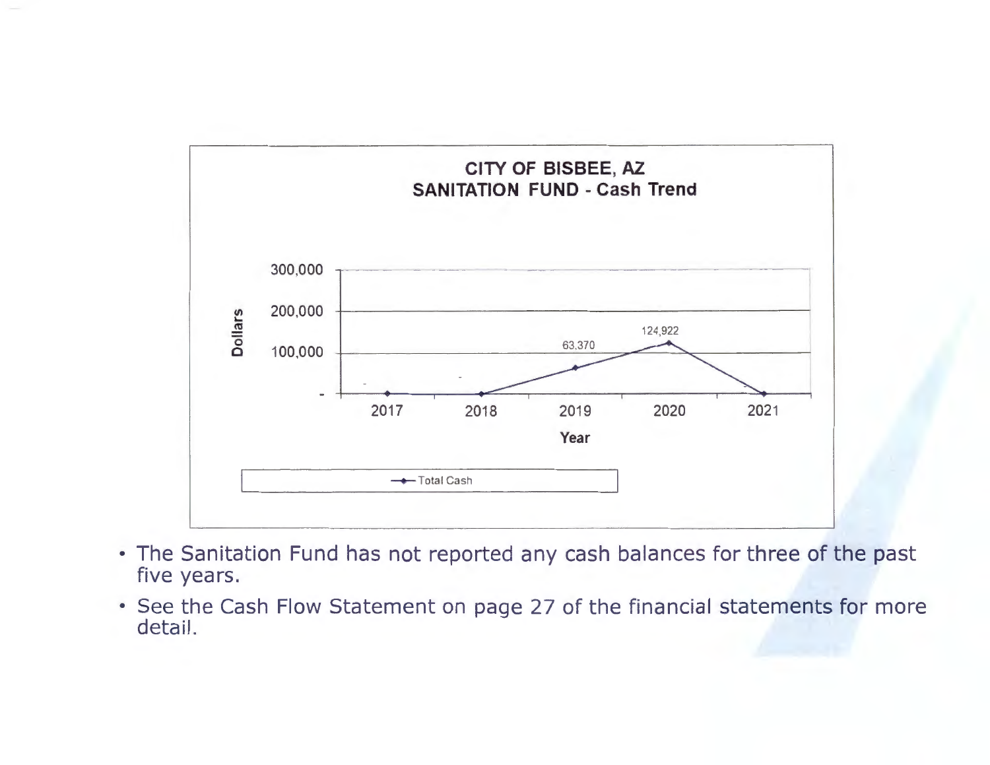

- The Sanitation Fund has not reported any cash balances for three of the past five years.
- See the Cash Flow Statement on page 27 of the financial statements for more detail.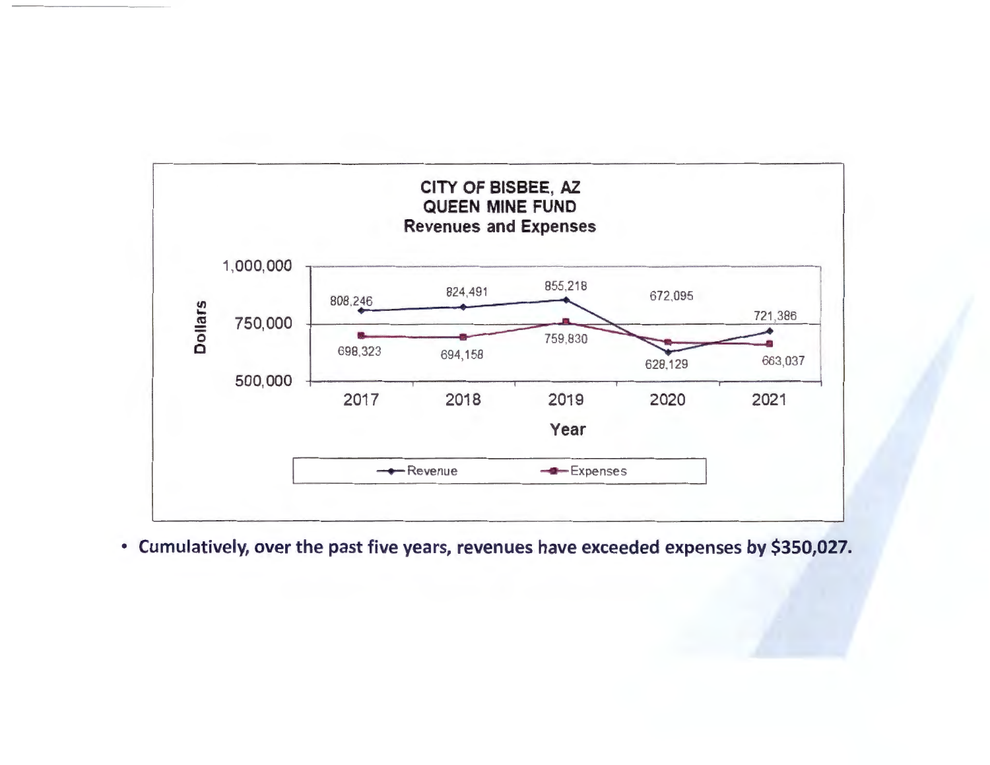

• Cumulatively, over the past five years, revenues have exceeded expenses by \$350,027.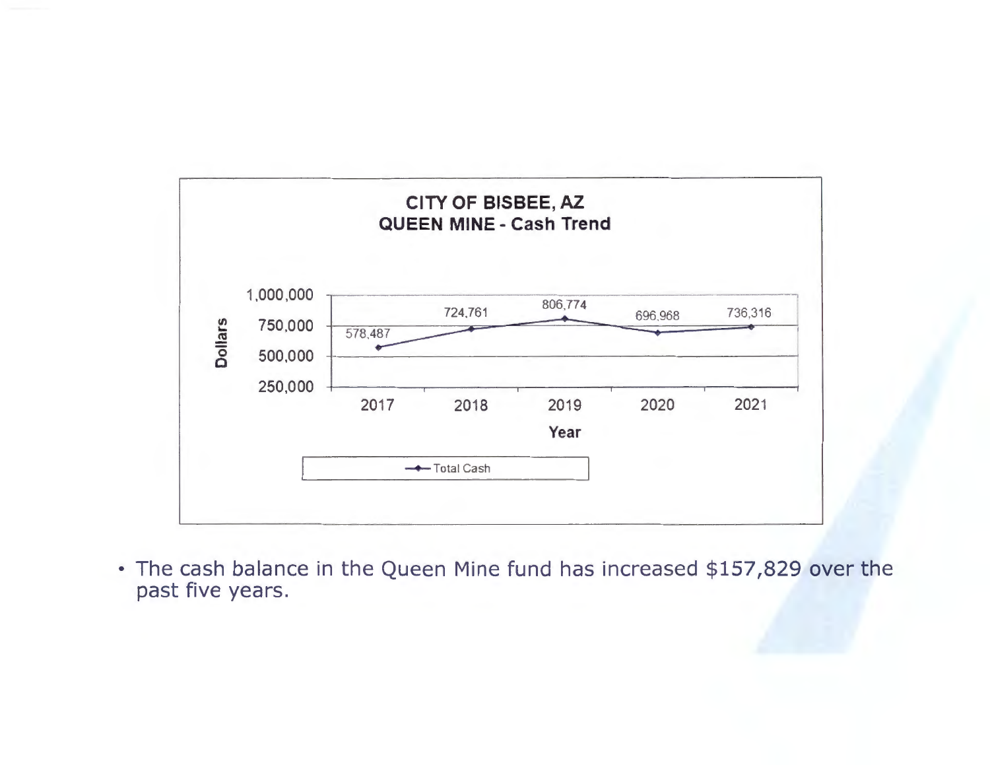

• The cash balance in the Queen Mine fund has increased \$157,829 over the past five years.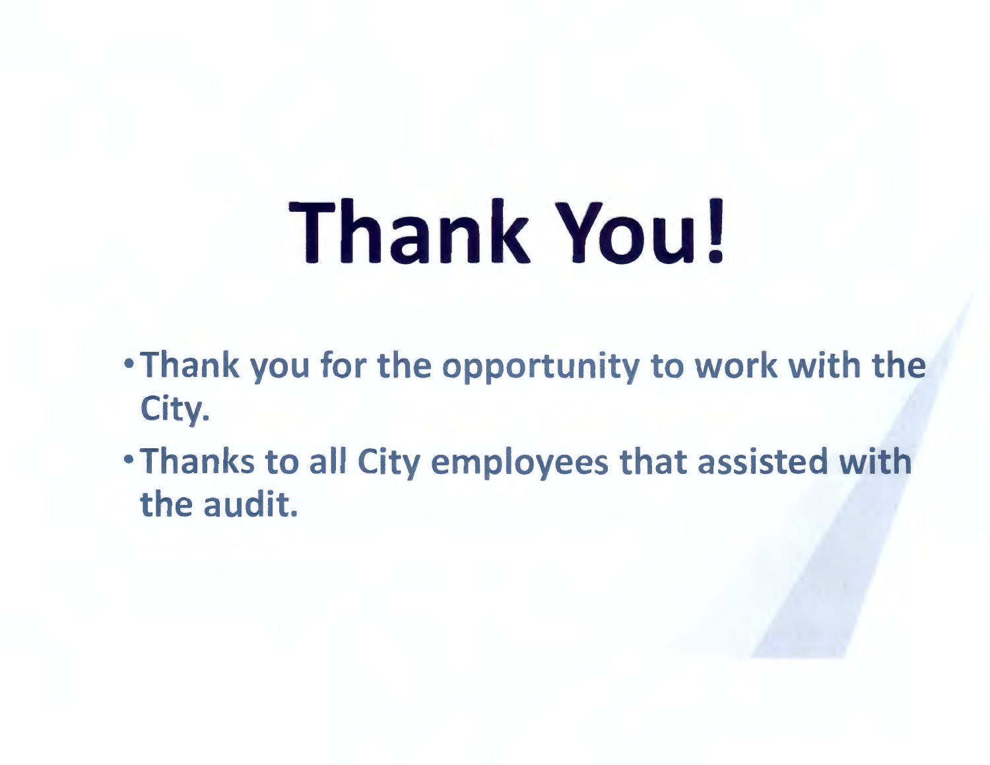# **Thank You!**

- Thank you for the opportunity to work with the City.
- •Thanks to all City employees that assisted with the audit.